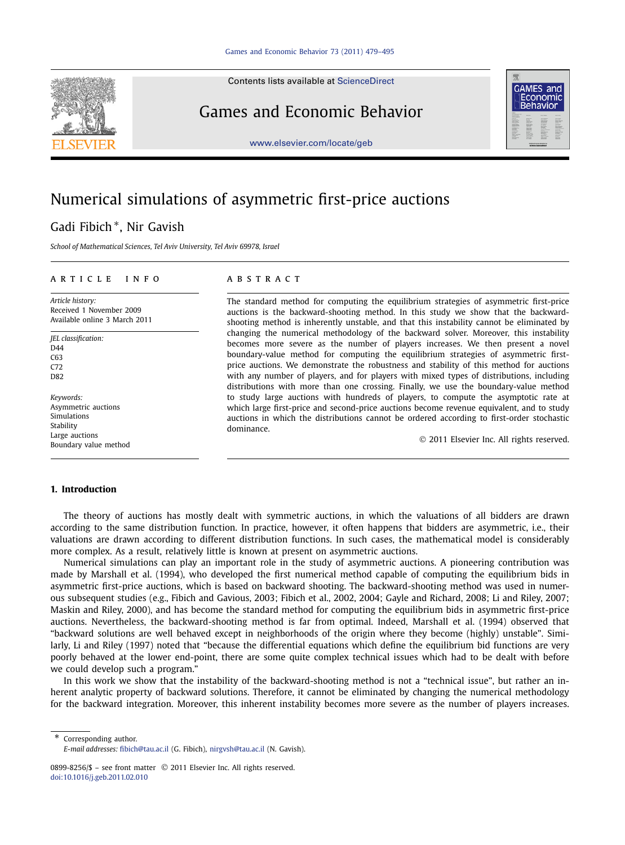Contents lists available at [ScienceDirect](http://www.ScienceDirect.com/)

## Games and Economic Behavior

[www.elsevier.com/locate/geb](http://www.elsevier.com/locate/geb)

# **GAMES** and conomic

## Numerical simulations of asymmetric first-price auctions

### Gadi Fibich <sup>∗</sup>, Nir Gavish

*School of Mathematical Sciences, Tel Aviv University, Tel Aviv 69978, Israel*

#### article info abstract

*Article history:* Received 1 November 2009 Available online 3 March 2011

*JEL classification:* D44 C63 C72 D82

*Keywords:* Asymmetric auctions Simulations Stability Large auctions Boundary value method

The standard method for computing the equilibrium strategies of asymmetric first-price auctions is the backward-shooting method. In this study we show that the backwardshooting method is inherently unstable, and that this instability cannot be eliminated by changing the numerical methodology of the backward solver. Moreover, this instability becomes more severe as the number of players increases. We then present a novel boundary-value method for computing the equilibrium strategies of asymmetric firstprice auctions. We demonstrate the robustness and stability of this method for auctions with any number of players, and for players with mixed types of distributions, including distributions with more than one crossing. Finally, we use the boundary-value method to study large auctions with hundreds of players, to compute the asymptotic rate at which large first-price and second-price auctions become revenue equivalent, and to study auctions in which the distributions cannot be ordered according to first-order stochastic dominance.

© 2011 Elsevier Inc. All rights reserved.

#### **1. Introduction**

The theory of auctions has mostly dealt with symmetric auctions, in which the valuations of all bidders are drawn according to the same distribution function. In practice, however, it often happens that bidders are asymmetric, i.e., their valuations are drawn according to different distribution functions. In such cases, the mathematical model is considerably more complex. As a result, relatively little is known at present on asymmetric auctions.

Numerical simulations can play an important role in the study of asymmetric auctions. A pioneering contribution was made by Marshall et al. (1994), who developed the first numerical method capable of computing the equilibrium bids in asymmetric first-price auctions, which is based on backward shooting. The backward-shooting method was used in numerous subsequent studies (e.g., Fibich and Gavious, 2003; Fibich et al., 2002, 2004; Gayle and Richard, 2008; Li and Riley, 2007; Maskin and Riley, 2000), and has become the standard method for computing the equilibrium bids in asymmetric first-price auctions. Nevertheless, the backward-shooting method is far from optimal. Indeed, Marshall et al. (1994) observed that "backward solutions are well behaved except in neighborhoods of the origin where they become (highly) unstable". Similarly, Li and Riley (1997) noted that "because the differential equations which define the equilibrium bid functions are very poorly behaved at the lower end-point, there are some quite complex technical issues which had to be dealt with before we could develop such a program."

In this work we show that the instability of the backward-shooting method is not a "technical issue", but rather an inherent analytic property of backward solutions. Therefore, it cannot be eliminated by changing the numerical methodology for the backward integration. Moreover, this inherent instability becomes more severe as the number of players increases.

\* Corresponding author.



*E-mail addresses:* [fibich@tau.ac.il](mailto:fibich@tau.ac.il) (G. Fibich), [nirgvsh@tau.ac.il](mailto:nirgvsh@tau.ac.il) (N. Gavish).

<sup>0899-8256/\$ –</sup> see front matter © 2011 Elsevier Inc. All rights reserved. [doi:10.1016/j.geb.2011.02.010](http://dx.doi.org/10.1016/j.geb.2011.02.010)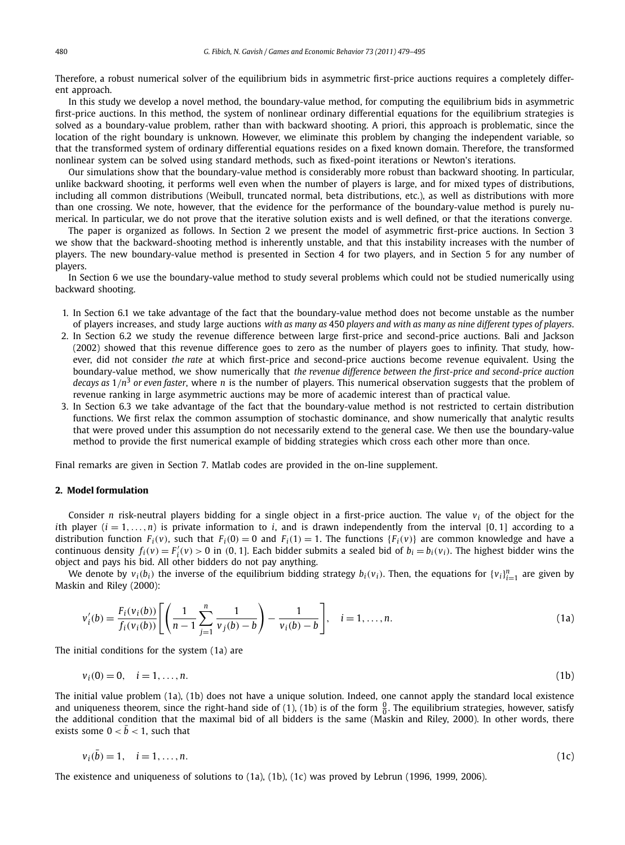Therefore, a robust numerical solver of the equilibrium bids in asymmetric first-price auctions requires a completely different approach.

In this study we develop a novel method, the boundary-value method, for computing the equilibrium bids in asymmetric first-price auctions. In this method, the system of nonlinear ordinary differential equations for the equilibrium strategies is solved as a boundary-value problem, rather than with backward shooting. A priori, this approach is problematic, since the location of the right boundary is unknown. However, we eliminate this problem by changing the independent variable, so that the transformed system of ordinary differential equations resides on a fixed known domain. Therefore, the transformed nonlinear system can be solved using standard methods, such as fixed-point iterations or Newton's iterations.

Our simulations show that the boundary-value method is considerably more robust than backward shooting. In particular, unlike backward shooting, it performs well even when the number of players is large, and for mixed types of distributions, including all common distributions (Weibull, truncated normal, beta distributions, etc.), as well as distributions with more than one crossing. We note, however, that the evidence for the performance of the boundary-value method is purely numerical. In particular, we do not prove that the iterative solution exists and is well defined, or that the iterations converge.

The paper is organized as follows. In Section 2 we present the model of asymmetric first-price auctions. In Section 3 we show that the backward-shooting method is inherently unstable, and that this instability increases with the number of players. The new boundary-value method is presented in Section 4 for two players, and in Section 5 for any number of players.

In Section 6 we use the boundary-value method to study several problems which could not be studied numerically using backward shooting.

- 1. In Section 6.1 we take advantage of the fact that the boundary-value method does not become unstable as the number of players increases, and study large auctions *with as many as* 450 *players and with as many as nine different types of players*.
- 2. In Section 6.2 we study the revenue difference between large first-price and second-price auctions. Bali and Jackson (2002) showed that this revenue difference goes to zero as the number of players goes to infinity. That study, however, did not consider *the rate* at which first-price and second-price auctions become revenue equivalent. Using the boundary-value method, we show numerically that *the revenue difference between the first-price and second-price auction decays as*  $1/n^3$  *or even faster*, where *n* is the number of players. This numerical observation suggests that the problem of revenue ranking in large asymmetric auctions may be more of academic interest than of practical value.
- 3. In Section 6.3 we take advantage of the fact that the boundary-value method is not restricted to certain distribution functions. We first relax the common assumption of stochastic dominance, and show numerically that analytic results that were proved under this assumption do not necessarily extend to the general case. We then use the boundary-value method to provide the first numerical example of bidding strategies which cross each other more than once.

Final remarks are given in Section 7. Matlab codes are provided in the on-line supplement.

#### **2. Model formulation**

Consider *n* risk-neutral players bidding for a single object in a first-price auction. The value  $v_i$  of the object for the *i*th player  $(i = 1, \ldots, n)$  is private information to *i*, and is drawn independently from the interval [0, 1] according to a distribution function  $F_i(v)$ , such that  $F_i(0) = 0$  and  $F_i(1) = 1$ . The functions  $\{F_i(v)\}$  are common knowledge and have a continuous density  $f_i(v) = F'_i(v) > 0$  in (0, 1]. Each bidder submits a sealed bid of  $b_i = b_i(v_i)$ . The highest bidder wins the object and pays his bid. All other bidders do not pay anything.

We denote by  $v_i(b_i)$  the inverse of the equilibrium bidding strategy  $b_i(v_i)$ . Then, the equations for  $\{v_i\}_{i=1}^n$  are given by Maskin and Riley (2000):

$$
v'_{i}(b) = \frac{F_{i}(v_{i}(b))}{f_{i}(v_{i}(b))} \left[ \left( \frac{1}{n-1} \sum_{j=1}^{n} \frac{1}{v_{j}(b) - b} \right) - \frac{1}{v_{i}(b) - b} \right], \quad i = 1, ..., n.
$$
 (1a)

The initial conditions for the system (1a) are

$$
v_i(0) = 0, \quad i = 1, \dots, n. \tag{1b}
$$

The initial value problem (1a), (1b) does not have a unique solution. Indeed, one cannot apply the standard local existence and uniqueness theorem, since the right-hand side of (1), (1b) is of the form  $\frac{0}{0}$ . The equilibrium strategies, however, satisfy the additional condition that the maximal bid of all bidders is the same (Maskin and Riley, 2000). In other words, there exists some  $0 < \bar{b} < 1$ , such that

$$
v_i(\bar{b}) = 1, \quad i = 1, ..., n. \tag{1c}
$$

The existence and uniqueness of solutions to (1a), (1b), (1c) was proved by Lebrun (1996, 1999, 2006).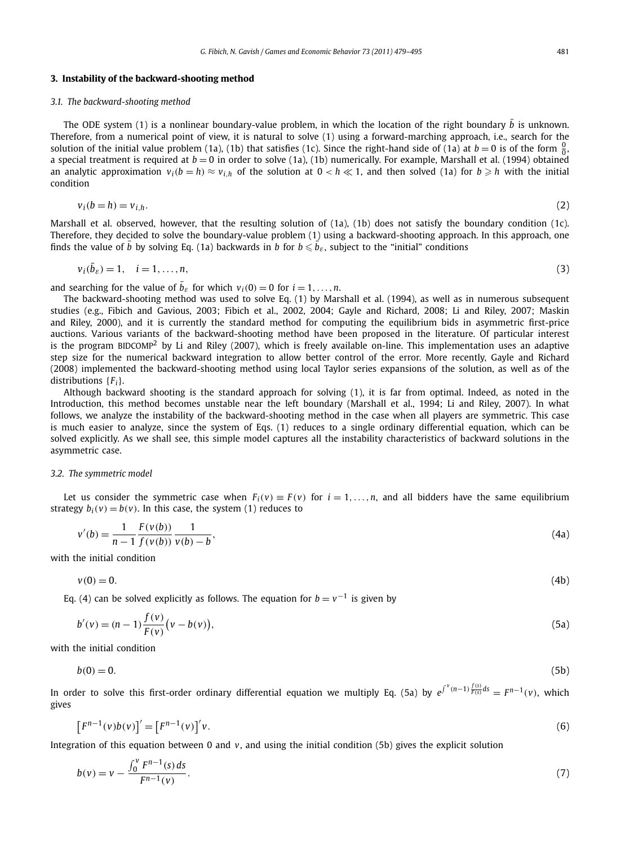#### **3. Instability of the backward-shooting method**

#### *3.1. The backward-shooting method*

The ODE system (1) is a nonlinear boundary-value problem, in which the location of the right boundary  $\bar b$  is unknown. Therefore, from a numerical point of view, it is natural to solve (1) using a forward-marching approach, i.e., search for the solution of the initial value problem (1a), (1b) that satisfies (1c). Since the right-hand side of (1a) at  $b=0$  is of the form  $\frac{0}{0}$ a special treatment is required at  $b = 0$  in order to solve (1a), (1b) numerically. For example, Marshall et al. (1994) obtained an analytic approximation  $v_i(b = h) \approx v_{i,h}$  of the solution at  $0 < h \ll 1$ , and then solved (1a) for  $b \geqslant h$  with the initial condition

$$
v_i(b = h) = v_{i,h}.\tag{2}
$$

Marshall et al. observed, however, that the resulting solution of (1a), (1b) does not satisfy the boundary condition (1c). Therefore, they decided to solve the boundary-value problem (1) using a backward-shooting approach. In this approach, one finds the value of  $\bar{b}$  by solving Eq. (1a) backwards in *b* for  $b \leqslant \vec{b}_\varepsilon$ , subject to the "initial" conditions

$$
v_i(\bar{b}_{\varepsilon}) = 1, \quad i = 1, \dots, n,\tag{3}
$$

and searching for the value of  $\bar{b}_{\varepsilon}$  for which  $v_i(0) = 0$  for  $i = 1, \ldots, n$ .

The backward-shooting method was used to solve Eq. (1) by Marshall et al. (1994), as well as in numerous subsequent studies (e.g., Fibich and Gavious, 2003; Fibich et al., 2002, 2004; Gayle and Richard, 2008; Li and Riley, 2007; Maskin and Riley, 2000), and it is currently the standard method for computing the equilibrium bids in asymmetric first-price auctions. Various variants of the backward-shooting method have been proposed in the literature. Of particular interest is the program BIDCOMP2 by Li and Riley (2007), which is freely available on-line. This implementation uses an adaptive step size for the numerical backward integration to allow better control of the error. More recently, Gayle and Richard (2008) implemented the backward-shooting method using local Taylor series expansions of the solution, as well as of the distributions {*Fi*}.

Although backward shooting is the standard approach for solving (1), it is far from optimal. Indeed, as noted in the Introduction, this method becomes unstable near the left boundary (Marshall et al., 1994; Li and Riley, 2007). In what follows, we analyze the instability of the backward-shooting method in the case when all players are symmetric. This case is much easier to analyze, since the system of Eqs. (1) reduces to a single ordinary differential equation, which can be solved explicitly. As we shall see, this simple model captures all the instability characteristics of backward solutions in the asymmetric case.

#### *3.2. The symmetric model*

Let us consider the symmetric case when  $F_i(v) \equiv F(v)$  for  $i = 1, \ldots, n$ , and all bidders have the same equilibrium strategy  $b_i(v) = b(v)$ . In this case, the system (1) reduces to

$$
v'(b) = \frac{1}{n-1} \frac{F(v(b))}{f(v(b))} \frac{1}{v(b)-b},
$$
\n(4a)

with the initial condition

$$
v(0) = 0.\t\t(4b)
$$

Eq. (4) can be solved explicitly as follows. The equation for  $b = v^{-1}$  is given by

$$
b'(v) = (n-1)\frac{f(v)}{F(v)}(v - b(v)),
$$
\n(5a)

with the initial condition

$$
b(0) = 0.\tag{5b}
$$

In order to solve this first-order ordinary differential equation we multiply Eq. (5a) by  $e^{\int^v(n-1)\frac{f(s)}{F(s)}ds}=F^{n-1}(v)$ , which gives

$$
\left[F^{n-1}(v)b(v)\right]' = \left[F^{n-1}(v)\right]'v.\tag{6}
$$

Integration of this equation between 0 and *v*, and using the initial condition (5b) gives the explicit solution

$$
b(v) = v - \frac{\int_0^v F^{n-1}(s) ds}{F^{n-1}(v)}.
$$
\n(7)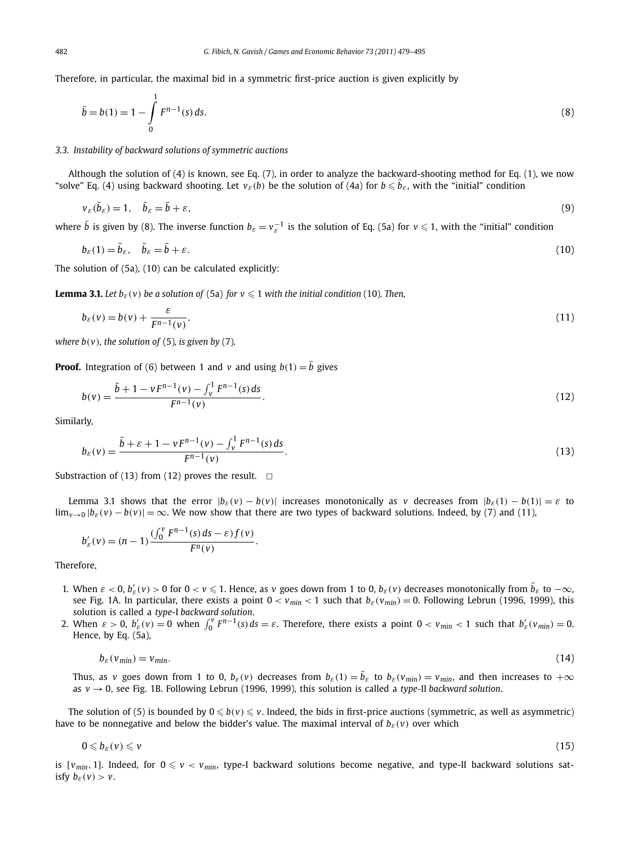Therefore, in particular, the maximal bid in a symmetric first-price auction is given explicitly by

$$
\bar{b} = b(1) = 1 - \int_{0}^{1} F^{n-1}(s) ds.
$$
\n(8)

#### *3.3. Instability of backward solutions of symmetric auctions*

Although the solution of (4) is known, see Eq. (7), in order to analyze the backward-shooting method for Eq. (1), we now "solve" Eq. (4) using backward shooting. Let  $v_{\varepsilon}(b)$  be the solution of (4a) for  $b \leqslant \bar{b}_{\varepsilon}$ , with the "initial" condition

$$
\nu_{\varepsilon}(\bar{b}_{\varepsilon}) = 1, \quad \bar{b}_{\varepsilon} = \bar{b} + \varepsilon, \tag{9}
$$

where  $\bar{b}$  is given by (8). The inverse function  $b_{\varepsilon} = v_{\varepsilon}^{-1}$  is the solution of Eq. (5a) for  $v \le 1$ , with the "initial" condition

$$
b_{\varepsilon}(1) = \bar{b}_{\varepsilon}, \quad \bar{b}_{\varepsilon} = \bar{b} + \varepsilon. \tag{10}
$$

The solution of (5a), (10) can be calculated explicitly:

**Lemma 3.1.** Let  $b_{\varepsilon}(v)$  be a solution of (5a) for  $v \le 1$  with the initial condition (10). Then,

$$
b_{\varepsilon}(v) = b(v) + \frac{\varepsilon}{F^{n-1}(v)},
$$
\n(11)

*where b*( $\nu$ )*, the solution of* (5)*, is given by* (7)*.* 

**Proof.** Integration of (6) between 1 and *v* and using  $b(1) = \overline{b}$  gives

$$
b(v) = \frac{\bar{b} + 1 - vF^{n-1}(v) - \int_v^1 F^{n-1}(s) \, ds}{F^{n-1}(v)}.
$$
\n
$$
(12)
$$

Similarly,

$$
b_{\varepsilon}(v) = \frac{\bar{b} + \varepsilon + 1 - vF^{n-1}(v) - \int_v^1 F^{n-1}(s) \, ds}{F^{n-1}(v)}.
$$
\n<sup>(13)</sup>

Substraction of (13) from (12) proves the result.  $\Box$ 

Lemma 3.1 shows that the error  $|b_{\varepsilon}(v) - b(v)|$  increases monotonically as *v* decreases from  $|b_{\varepsilon}(1) - b(1)| = \varepsilon$  to  $\lim_{v\to 0}$   $|b_{\varepsilon}(v)-b(v)|=\infty$ . We now show that there are two types of backward solutions. Indeed, by (7) and (11),

$$
b'_{\varepsilon}(v) = (n-1) \frac{(\int_0^v F^{n-1}(s) \, ds - \varepsilon) f(v)}{F^n(v)}.
$$

Therefore,

- 1. When  $\varepsilon < 0$ ,  $b'_\varepsilon(v) > 0$  for  $0 < v \le 1$ . Hence, as v goes down from 1 to 0,  $b_\varepsilon(v)$  decreases monotonically from  $\bar{b}_\varepsilon$  to  $-\infty$ , see Fig. 1A. In particular, there exists a point  $0 < v_{min} < 1$  such that  $b_{\varepsilon}(v_{min}) = 0$ . Following Lebrun (1996, 1999), this solution is called a *type-*I *backward solution*.
- 2. When  $\varepsilon > 0$ ,  $b'_{\varepsilon}(v) = 0$  when  $\int_0^v F^{n-1}(s) ds = \varepsilon$ . Therefore, there exists a point  $0 < v_{min} < 1$  such that  $b'_{\varepsilon}(v_{min}) = 0$ . Hence, by Eq. (5a),

$$
b_{\varepsilon}(v_{\min}) = v_{\min}.\tag{14}
$$

Thus, as *v* goes down from 1 to 0,  $b_\varepsilon(v)$  decreases from  $b_\varepsilon(1)=\bar{b}_\varepsilon$  to  $b_\varepsilon(v_{min})=v_{min}$ , and then increases to  $+\infty$ as *v* → 0, see Fig. 1B. Following Lebrun (1996, 1999), this solution is called a *type-*II *backward solution*.

The solution of (5) is bounded by  $0 \le b(v) \le v$ . Indeed, the bids in first-price auctions (symmetric, as well as asymmetric) have to be nonnegative and below the bidder's value. The maximal interval of  $b_{\varepsilon}(v)$  over which

$$
0 \leqslant b_{\varepsilon}(v) \leqslant v \tag{15}
$$

is  $[v_{min}, 1]$ . Indeed, for  $0 \le v < v_{min}$ , type-I backward solutions become negative, and type-II backward solutions satisfy  $b_{\varepsilon}(v) > v$ .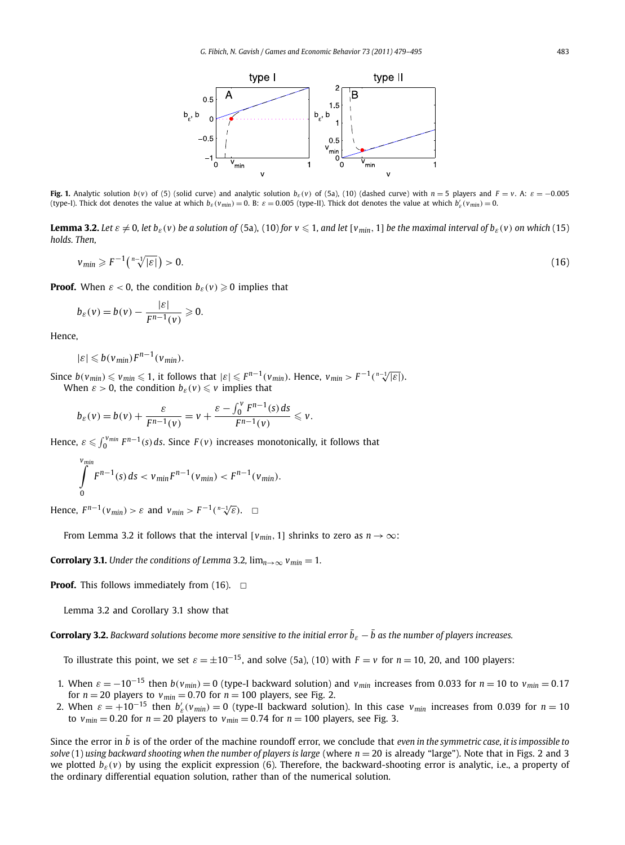

Fig. 1. Analytic solution  $b(v)$  of (5) (solid curve) and analytic solution  $b<sub>ε</sub>(v)$  of (5a), (10) (dashed curve) with  $n = 5$  players and  $F = v$ . A:  $\varepsilon = -0.005$ (type-I). Thick dot denotes the value at which  $b_{\varepsilon}(v_{min}) = 0$ . B:  $\varepsilon = 0.005$  (type-II). Thick dot denotes the value at which  $b_{\varepsilon}'(v_{min}) = 0$ .

**Lemma 3.2.** Let  $\varepsilon \neq 0$ , let  $b_{\varepsilon}(v)$  be a solution of (5a), (10) for  $v \leq 1$ , and let  $[v_{min}, 1]$  be the maximal interval of  $b_{\varepsilon}(v)$  on which (15) *holds. Then,*

$$
v_{min} \geqslant F^{-1}\left(\sqrt[n-1]{|\varepsilon|}\right) > 0. \tag{16}
$$

**Proof.** When  $\varepsilon < 0$ , the condition  $b_{\varepsilon}(v) \geqslant 0$  implies that

$$
b_{\varepsilon}(v) = b(v) - \frac{|\varepsilon|}{F^{n-1}(v)} \geq 0.
$$

Hence,

$$
|\varepsilon| \leqslant b(v_{\min})F^{n-1}(v_{\min}).
$$

 $\text{Since } b(v_{min}) \leqslant v_{min} \leqslant 1 \text{, it follows that } |\varepsilon| \leqslant F^{n-1}(v_{min}) \text{. Hence, } v_{min} > F^{-1}(\sqrt[n-1]{|\varepsilon|}).$ When  $\varepsilon > 0$ , the condition  $b_{\varepsilon}(v) \leq v$  implies that

$$
b_{\varepsilon}(v) = b(v) + \frac{\varepsilon}{F^{n-1}(v)} = v + \frac{\varepsilon - \int_0^v F^{n-1}(s) ds}{F^{n-1}(v)} \leq v.
$$

Hence,  $\varepsilon \leqslant \int_0^{\nu_{min}} F^{n-1}(s) ds$ . Since  $F(v)$  increases monotonically, it follows that

$$
\int_{0}^{v_{min}} F^{n-1}(s) ds < v_{min} F^{n-1}(v_{min}) < F^{n-1}(v_{min}).
$$

Hence,  $F^{n-1}(v_{min}) > \varepsilon$  and  $v_{min} > F^{-1}(\sqrt[n-1]{\varepsilon})$ .  $\Box$ 

From Lemma 3.2 it follows that the interval  $[v_{min}, 1]$  shrinks to zero as  $n \rightarrow \infty$ :

**Corrolary 3.1.** *Under the conditions of Lemma* 3.2,  $\lim_{n\to\infty} v_{min} = 1$ *.* 

**Proof.** This follows immediately from  $(16)$ .  $\Box$ 

Lemma 3.2 and Corollary 3.1 show that

 $\bf{Corrolary 3.2.}$  Backward solutions become more sensitive to the initial error  $\bar{b}_\varepsilon-\bar{b}$  as the number of players increases.

To illustrate this point, we set  $\varepsilon = \pm 10^{-15}$ , and solve (5a), (10) with  $F = v$  for  $n = 10$ , 20, and 100 players:

- 1. When  $\varepsilon = -10^{-15}$  then  $b(v_{min}) = 0$  (type-I backward solution) and  $v_{min}$  increases from 0.033 for  $n = 10$  to  $v_{min} = 0.17$ for  $n = 20$  players to  $v_{min} = 0.70$  for  $n = 100$  players, see Fig. 2.
- 2. When  $\varepsilon = +10^{-15}$  then  $b'_{\varepsilon}(v_{min}) = 0$  (type-II backward solution). In this case  $v_{min}$  increases from 0.039 for  $n = 10$ to  $v_{min} = 0.20$  for  $n = 20$  players to  $v_{min} = 0.74$  for  $n = 100$  players, see Fig. 3.

Since the error in  $\bar{b}$  is of the order of the machine roundoff error, we conclude that *even in the symmetric case, it is impossible to solve* (1) *using backward shooting when the number of players is large* (where *n* = 20 is already "large"). Note that in Figs. 2 and 3 we plotted  $b_{\varepsilon}(v)$  by using the explicit expression (6). Therefore, the backward-shooting error is analytic, i.e., a property of the ordinary differential equation solution, rather than of the numerical solution.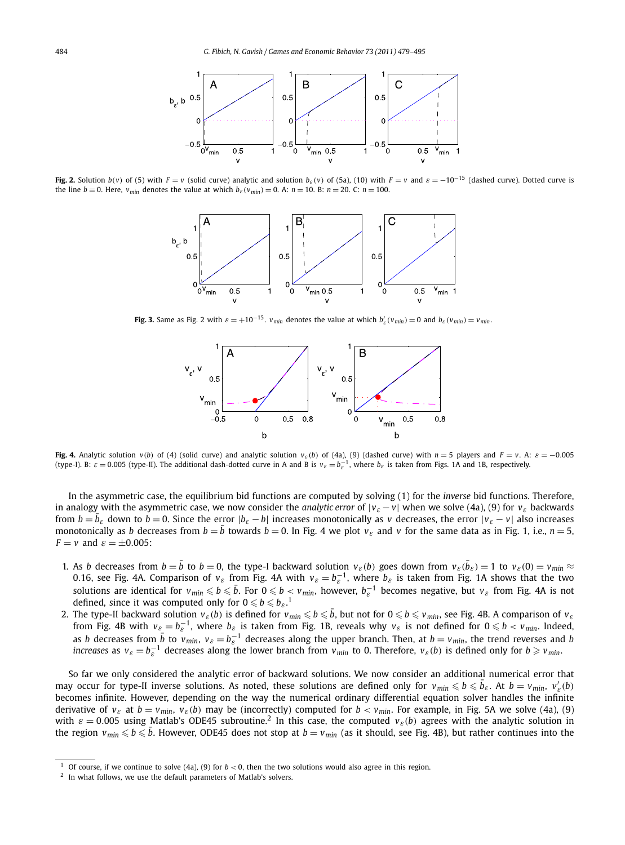

Fig. 2. Solution  $b(v)$  of (5) with  $F = v$  (solid curve) analytic and solution  $b<sub>e</sub>(v)$  of (5a), (10) with  $F = v$  and  $\varepsilon = -10^{-15}$  (dashed curve). Dotted curve is the line *b* ≡ 0. Here,  $v_{min}$  denotes the value at which  $b_{\varepsilon}(v_{min}) = 0$ . A:  $n = 10$ . B:  $n = 20$ . C:  $n = 100$ .



**Fig. 3.** Same as Fig. 2 with  $\varepsilon = +10^{-15}$ .  $v_{min}$  denotes the value at which  $b'_{\varepsilon}(v_{min}) = 0$  and  $b_{\varepsilon}(v_{min}) = v_{min}$ .



Fig. 4. Analytic solution  $v(b)$  of (4) (solid curve) and analytic solution  $v<sub>ε</sub>(b)$  of (4a), (9) (dashed curve) with  $n = 5$  players and  $F = v$ . A:  $\epsilon = -0.005$ (type-I). B:  $\varepsilon = 0.005$  (type-II). The additional dash-dotted curve in A and B is  $v_{\varepsilon} = b_{\varepsilon}^{-1}$ , where  $b_{\varepsilon}$  is taken from Figs. 1A and 1B, respectively.

In the asymmetric case, the equilibrium bid functions are computed by solving (1) for the *inverse* bid functions. Therefore, in analogy with the asymmetric case, we now consider the *analytic error* of  $|v_{\varepsilon} - v|$  when we solve (4a), (9) for  $v_{\varepsilon}$  backwards from  $b = \overline{b}_\varepsilon$  down to  $b = 0$ . Since the error  $|b_\varepsilon - b|$  increases monotonically as *v* decreases, the error  $|v_\varepsilon - v|$  also increases monotonically as *b* decreases from  $b=\bar{b}$  towards  $b=0$ . In Fig. 4 we plot  $v_\varepsilon$  and  $v$  for the same data as in Fig. 1, i.e.,  $n=5$ , *F* = *v* and  $\varepsilon$  =  $\pm$ 0.005:

- 1. As b decreases from  $b=\bar{b}$  to  $b=0$ , the type-I backward solution  $v_{\varepsilon}(b)$  goes down from  $v_{\varepsilon}(\bar{b}_{\varepsilon})=1$  to  $v_{\varepsilon}(0)=v_{min}\approx$ 0.16, see Fig. 4A. Comparison of  $v_\varepsilon$  from Fig. 4A with  $v_\varepsilon = b_\varepsilon^{-1}$ , where  $b_\varepsilon$  is taken from Fig. 1A shows that the two solutions are identical for  $v_{min} \leqslant b \leqslant \bar{b}$ . For  $0 \leqslant b < v_{min}$ , however,  $b_{\varepsilon}^{-1}$  becomes negative, but  $v_{\varepsilon}$  from Fig. 4A is not defined, since it was computed only for  $0 \leqslant b \leqslant {b_{\varepsilon}}$ .<sup>1</sup>
- 2. The type-II backward solution  $v_\varepsilon(b)$  is defined for  $v_{min}\leqslant b\leqslant \bar b,$  but not for  $0\leqslant b\leqslant v_{min},$  see Fig. 4B. A comparison of  $v_\varepsilon$ from Fig. 4B with  $v_{\varepsilon} = b_{\varepsilon}^{-1}$ , where  $b_{\varepsilon}$  is taken from Fig. 1B, reveals why  $v_{\varepsilon}$  is not defined for  $0 \leqslant b < v_{min}$ . Indeed, as *b* decreases from  $\bar{b}$  to  $v_{min}$ ,  $v_{\varepsilon} = b_{\varepsilon}^{-1}$  decreases along the upper branch. Then, at  $b = v_{min}$ , the trend reverses and *b increases* as  $v_{\varepsilon} = b_{\varepsilon}^{-1}$  decreases along the lower branch from  $v_{min}$  to 0. Therefore,  $v_{\varepsilon}(b)$  is defined only for  $b \geqslant v_{min}$ .

So far we only considered the analytic error of backward solutions. We now consider an additional numerical error that may occur for type-II inverse solutions. As noted, these solutions are defined only for  $v_{min} \le b \le \bar{b}_\varepsilon$ . At  $b = v_{min}$ ,  $v'_\varepsilon(b)$ becomes infinite. However, depending on the way the numerical ordinary differential equation solver handles the infinite derivative of  $v_{\varepsilon}$  at  $b = v_{min}$ ,  $v_{\varepsilon}(b)$  may be (incorrectly) computed for  $b < v_{min}$ . For example, in Fig. 5A we solve (4a), (9) with  $\varepsilon = 0.005$  using Matlab's ODE45 subroutine.<sup>2</sup> In this case, the computed  $v_{\varepsilon}(b)$  agrees with the analytic solution in the region  $v_{min} \leqslant b \leqslant \bar{b}$ . However, ODE45 does not stop at  $b=v_{min}$  (as it should, see Fig. 4B), but rather continues into the

Of course, if we continue to solve (4a), (9) for  $b < 0$ , then the two solutions would also agree in this region.

<sup>2</sup> In what follows, we use the default parameters of Matlab's solvers.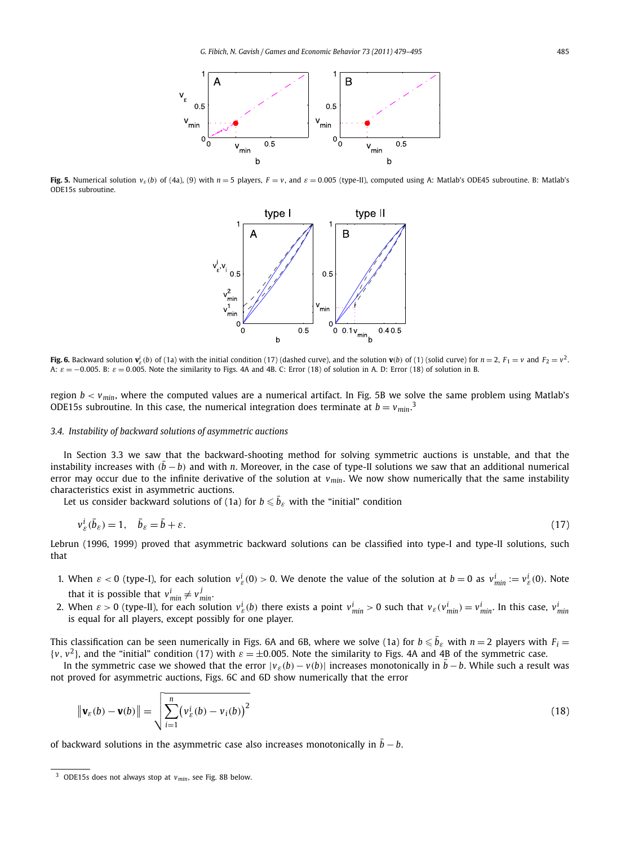

Fig. 5. Numerical solution  $v_s(b)$  of (4a), (9) with  $n = 5$  players,  $F = v$ , and  $\varepsilon = 0.005$  (type-II), computed using A: Matlab's ODE45 subroutine. B: Matlab's ODE15s subroutine.



**Fig. 6.** Backward solution  $\mathbf{v}_e^i(b)$  of (1a) with the initial condition (17) (dashed curve), and the solution  $\mathbf{v}(b)$  of (1) (solid curve) for  $n=2$ ,  $F_1 = v$  and  $F_2 = v^2$ . A:  $ε = −0.005$ . B:  $ε = 0.005$ . Note the similarity to Figs. 4A and 4B. C: Error (18) of solution in A. D: Error (18) of solution in B.

region *b < vmin*, where the computed values are a numerical artifact. In Fig. 5B we solve the same problem using Matlab's ODE15s subroutine. In this case, the numerical integration does terminate at  $b = v_{min}$ .<sup>3</sup>

#### *3.4. Instability of backward solutions of asymmetric auctions*

In Section 3.3 we saw that the backward-shooting method for solving symmetric auctions is unstable, and that the instability increases with  $(\bar{b}-b)$  and with *n*. Moreover, in the case of type-II solutions we saw that an additional numerical error may occur due to the infinite derivative of the solution at  $v_{min}$ . We now show numerically that the same instability characteristics exist in asymmetric auctions.

Let us consider backward solutions of (1a) for  $b \leqslant \bar{b}_\varepsilon$  with the "initial" condition

$$
v_{\varepsilon}^{i}(\bar{b}_{\varepsilon}) = 1, \quad \bar{b}_{\varepsilon} = \bar{b} + \varepsilon. \tag{17}
$$

Lebrun (1996, 1999) proved that asymmetric backward solutions can be classified into type-I and type-II solutions, such that

- 1. When  $\varepsilon < 0$  (type-I), for each solution  $v_{\varepsilon}^i(0) > 0$ . We denote the value of the solution at  $b = 0$  as  $v_{\min}^i := v_{\varepsilon}^i(0)$ . Note that it is possible that  $v_{min}^i \neq v_{min}^j$ .
- 2. When  $\varepsilon > 0$  (type-II), for each solution  $v_{\varepsilon}^i(b)$  there exists a point  $v_{min}^i > 0$  such that  $v_{\varepsilon}(v_{min}^i) = v_{min}^i$ . In this case,  $v_{min}^i$ is equal for all players, except possibly for one player.

This classification can be seen numerically in Figs. 6A and 6B, where we solve (1a) for  $b\leqslant \bar{b}_\varepsilon$  with  $n=2$  players with  $F_i=$  $\{v, v^2\}$ , and the "initial" condition (17) with  $\varepsilon = \pm 0.005$ . Note the similarity to Figs. 4A and 4B of the symmetric case.

In the symmetric case we showed that the error  $|v_\varepsilon(b)-v(b)|$  increases monotonically in  $\bar{b}-b$ . While such a result was not proved for asymmetric auctions, Figs. 6C and 6D show numerically that the error

$$
\|\mathbf{v}_{\varepsilon}(b) - \mathbf{v}(b)\| = \sqrt{\sum_{i=1}^{n} (v_{\varepsilon}^i(b) - v_i(b))^2}
$$
\n(18)

of backward solutions in the asymmetric case also increases monotonically in  $\bar b - b.$ 

<sup>3</sup> ODE15s does not always stop at *vmin*, see Fig. 8B below.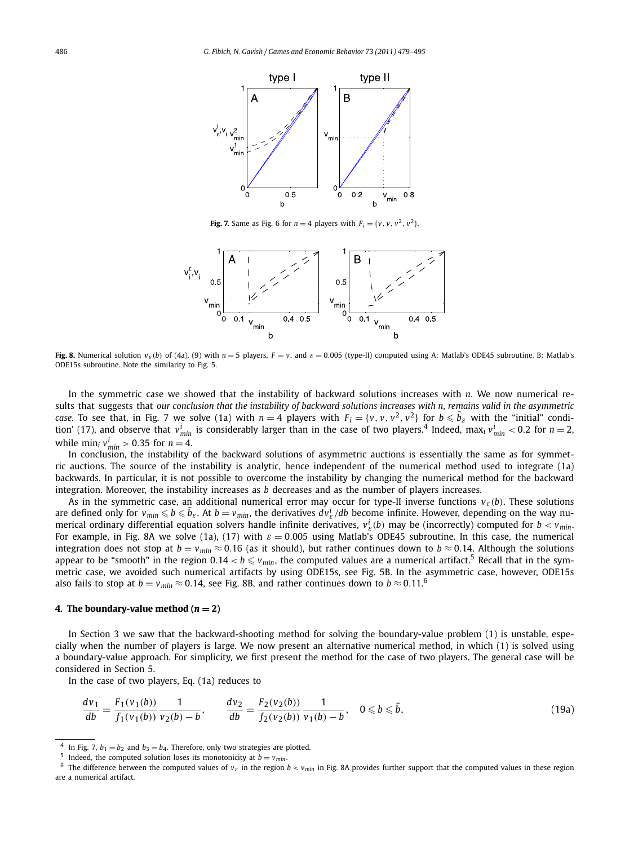

**Fig. 7.** Same as Fig. 6 for  $n = 4$  players with  $F_i = \{v, v, v^2, v^2\}$ .



Fig. 8. Numerical solution  $v_{\varepsilon}(b)$  of (4a), (9) with  $n = 5$  players,  $F = v$ , and  $\varepsilon = 0.005$  (type-II) computed using A: Matlab's ODE45 subroutine. B: Matlab's ODE15s subroutine. Note the similarity to Fig. 5.

In the symmetric case we showed that the instability of backward solutions increases with *n*. We now numerical results that suggests that *our conclusion that the instability of backward solutions increases with n, remains valid in the asymmetric case.* To see that, in Fig. 7 we solve (1a) with  $n = 4$  players with  $F_i = \{v, v, v^2, v^2\}$  for  $b \leq b_\varepsilon$  with the "initial" condition' (17), and observe that  $v^i_{min}$  is considerably larger than in the case of two players.<sup>4</sup> Indeed, max<sub>i</sub>  $v^i_{min}$  < 0.2 for  $n=2$ , while  $\min_i v_{\min}^i > 0.35$  for  $n = 4$ .

In conclusion, the instability of the backward solutions of asymmetric auctions is essentially the same as for symmetric auctions. The source of the instability is analytic, hence independent of the numerical method used to integrate (1a) backwards. In particular, it is not possible to overcome the instability by changing the numerical method for the backward integration. Moreover, the instability increases as *b* decreases and as the number of players increases.

As in the symmetric case, an additional numerical error may occur for type-II inverse functions *vε(b)*. These solutions are defined only for  $v_{min} \leqslant b \leqslant \bar{b}_{\varepsilon}$ . At  $b=v_{min}$ , the derivatives  $dv_{\varepsilon}^i/db$  become infinite. However, depending on the way numerical ordinary differential equation solvers handle infinite derivatives, *v<sup>i</sup> ε(b)* may be (incorrectly) computed for *b < vmin*. For example, in Fig. 8A we solve (1a), (17) with *ε* = 0*.*005 using Matlab's ODE45 subroutine. In this case, the numerical integration does not stop at  $b = v_{min} \approx 0.16$  (as it should), but rather continues down to  $b \approx 0.14$ . Although the solutions appear to be "smooth" in the region  $0.14 < b \le v_{min}$ , the computed values are a numerical artifact.<sup>5</sup> Recall that in the symmetric case, we avoided such numerical artifacts by using ODE15s, see Fig. 5B. In the asymmetric case, however, ODE15s also fails to stop at  $b = v_{min} \approx 0.14$ , see Fig. 8B, and rather continues down to  $b \approx 0.11$ .<sup>6</sup>

#### **4. The boundary-value method**  $(n = 2)$

In Section 3 we saw that the backward-shooting method for solving the boundary-value problem (1) is unstable, especially when the number of players is large. We now present an alternative numerical method, in which (1) is solved using a boundary-value approach. For simplicity, we first present the method for the case of two players. The general case will be considered in Section 5.

In the case of two players, Eq. (1a) reduces to

$$
\frac{dv_1}{db} = \frac{F_1(v_1(b))}{f_1(v_1(b))} \frac{1}{v_2(b) - b}, \qquad \frac{dv_2}{db} = \frac{F_2(v_2(b))}{f_2(v_2(b))} \frac{1}{v_1(b) - b}, \quad 0 \le b \le \bar{b},
$$
\n(19a)

<sup>&</sup>lt;sup>4</sup> In Fig. 7,  $b_1 = b_2$  and  $b_3 = b_4$ . Therefore, only two strategies are plotted.

<sup>&</sup>lt;sup>5</sup> Indeed, the computed solution loses its monotonicity at  $b = v_{min}$ .

<sup>&</sup>lt;sup>6</sup> The difference between the computed values of  $v_{\varepsilon}$  in the region  $b < v_{min}$  in Fig. 8A provides further support that the computed values in these region are a numerical artifact.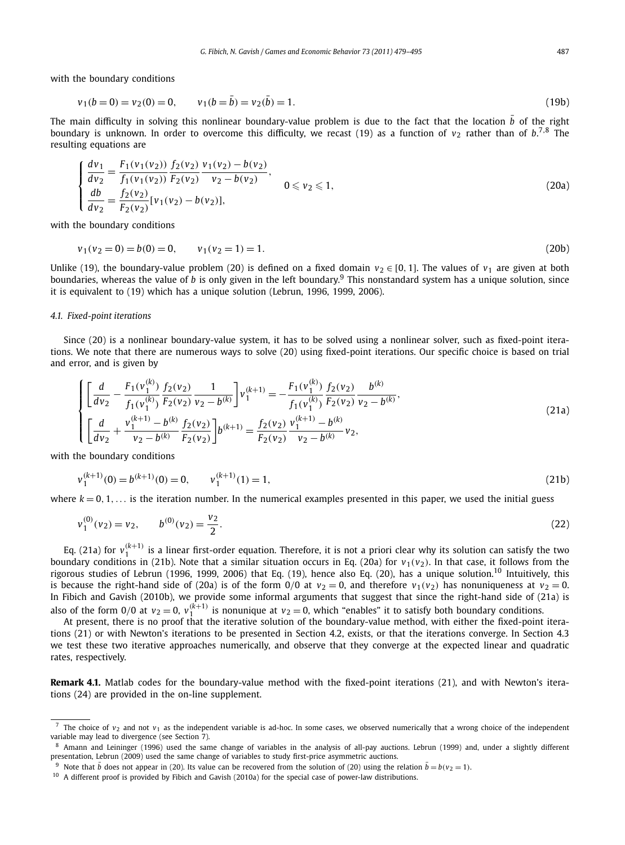with the boundary conditions

$$
v_1(b=0) = v_2(0) = 0, \qquad v_1(b=\bar{b}) = v_2(\bar{b}) = 1.
$$
\n(19b)

The main difficulty in solving this nonlinear boundary-value problem is due to the fact that the location  $\bar b$  of the right boundary is unknown. In order to overcome this difficulty, we recast (19) as a function of  $v_2$  rather than of  $b^{7,8}$  The resulting equations are

$$
\begin{cases}\n\frac{dv_1}{dv_2} = \frac{F_1(v_1(v_2))}{f_1(v_1(v_2))} \frac{f_2(v_2)}{F_2(v_2)} \frac{v_1(v_2) - b(v_2)}{v_2 - b(v_2)},\\ \n\frac{db}{dv_2} = \frac{f_2(v_2)}{F_2(v_2)} [v_1(v_2) - b(v_2)],\n\end{cases} \quad \text{(20a)}
$$

with the boundary conditions

$$
v_1(v_2 = 0) = b(0) = 0, \qquad v_1(v_2 = 1) = 1. \tag{20b}
$$

Unlike (19), the boundary-value problem (20) is defined on a fixed domain  $v_2 \in [0, 1]$ . The values of  $v_1$  are given at both boundaries, whereas the value of *b* is only given in the left boundary.<sup>9</sup> This nonstandard system has a unique solution, since it is equivalent to (19) which has a unique solution (Lebrun, 1996, 1999, 2006).

#### *4.1. Fixed-point iterations*

Since (20) is a nonlinear boundary-value system, it has to be solved using a nonlinear solver, such as fixed-point iterations. We note that there are numerous ways to solve (20) using fixed-point iterations. Our specific choice is based on trial and error, and is given by

$$
\begin{cases}\n\left[\frac{d}{dv_2} - \frac{F_1(v_1^{(k)})}{f_1(v_1^{(k)})} \frac{f_2(v_2)}{F_2(v_2)} \frac{1}{v_2 - b^{(k)}}\right] v_1^{(k+1)} = -\frac{F_1(v_1^{(k)})}{f_1(v_1^{(k)})} \frac{f_2(v_2)}{F_2(v_2)} \frac{b^{(k)}}{v_2 - b^{(k)}}, \\
\left[\frac{d}{dv_2} + \frac{v_1^{(k+1)} - b^{(k)}}{v_2 - b^{(k)}} \frac{f_2(v_2)}{F_2(v_2)}\right] b^{(k+1)} = \frac{f_2(v_2)}{F_2(v_2)} \frac{v_1^{(k+1)} - b^{(k)}}{v_2 - b^{(k)}} v_2,\n\end{cases} \tag{21a}
$$

with the boundary conditions

$$
v_1^{(k+1)}(0) = b^{(k+1)}(0) = 0, \qquad v_1^{(k+1)}(1) = 1,\tag{21b}
$$

where  $k = 0, 1, \ldots$  is the iteration number. In the numerical examples presented in this paper, we used the initial guess

$$
v_1^{(0)}(v_2) = v_2, \qquad b^{(0)}(v_2) = \frac{v_2}{2}.
$$
\n(22)

Eq. (21a) for  $v_1^{(k+1)}$  is a linear first-order equation. Therefore, it is not a priori clear why its solution can satisfy the two boundary conditions in (21b). Note that a similar situation occurs in Eq. (20a) for  $v_1(v_2)$ . In that case, it follows from the rigorous studies of Lebrun (1996, 1999, 2006) that Eq. (19), hence also Eq. (20), has a unique solution.<sup>10</sup> Intuitively, this is because the right-hand side of (20a) is of the form  $0/0$  at  $v_2 = 0$ , and therefore  $v_1(v_2)$  has nonuniqueness at  $v_2 = 0$ . In Fibich and Gavish (2010b), we provide some informal arguments that suggest that since the right-hand side of (21a) is also of the form 0/0 at  $v_2=0$ ,  $v_1^{(k+1)}$  is nonunique at  $v_2=0$ , which "enables" it to satisfy both boundary conditions.

At present, there is no proof that the iterative solution of the boundary-value method, with either the fixed-point iterations (21) or with Newton's iterations to be presented in Section 4.2, exists, or that the iterations converge. In Section 4.3 we test these two iterative approaches numerically, and observe that they converge at the expected linear and quadratic rates, respectively.

**Remark 4.1.** Matlab codes for the boundary-value method with the fixed-point iterations (21), and with Newton's iterations (24) are provided in the on-line supplement.

<sup>&</sup>lt;sup>7</sup> The choice of  $v_2$  and not  $v_1$  as the independent variable is ad-hoc. In some cases, we observed numerically that a wrong choice of the independent variable may lead to divergence (see Section 7).

<sup>8</sup> Amann and Leininger (1996) used the same change of variables in the analysis of all-pay auctions. Lebrun (1999) and, under a slightly different presentation, Lebrun (2009) used the same change of variables to study first-price asymmetric auctions.

<sup>&</sup>lt;sup>9</sup> Note that  $\bar{b}$  does not appear in (20). Its value can be recovered from the solution of (20) using the relation  $\bar{b} = b(v_2 = 1)$ .

<sup>&</sup>lt;sup>10</sup> A different proof is provided by Fibich and Gavish (2010a) for the special case of power-law distributions.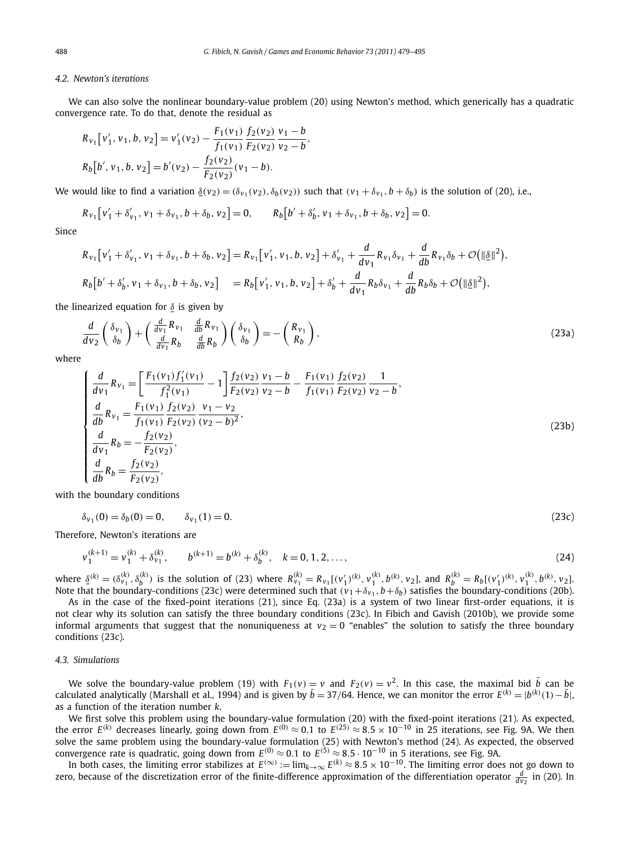#### *4.2. Newton's iterations*

We can also solve the nonlinear boundary-value problem (20) using Newton's method, which generically has a quadratic convergence rate. To do that, denote the residual as

*,*

$$
R_{v_1}[v'_1, v_1, b, v_2] = v'_1(v_2) - \frac{F_1(v_1)}{f_1(v_1)} \frac{f_2(v_2)}{F_2(v_2)} \frac{v_1 - b}{v_2 - b}
$$
  
\n
$$
R_b[b', v_1, b, v_2] = b'(v_2) - \frac{f_2(v_2)}{F_2(v_2)} (v_1 - b).
$$

We would like to find a variation  $\underline{\delta}(v_2) = (\delta_{v_1}(v_2), \delta_b(v_2))$  such that  $(v_1 + \delta_{v_1}, b + \delta_b)$  is the solution of (20), i.e.,

$$
R_{v_1}[v'_1 + \delta'_{v_1}, v_1 + \delta_{v_1}, b + \delta_b, v_2] = 0, \qquad R_b[b' + \delta'_b, v_1 + \delta_{v_1}, b + \delta_b, v_2] = 0.
$$

Since

$$
R_{v_1}[v'_1 + \delta'_{v_1}, v_1 + \delta_{v_1}, b + \delta_b, v_2] = R_{v_1}[v'_1, v_1, b, v_2] + \delta'_{v_1} + \frac{d}{dv_1}R_{v_1}\delta_{v_1} + \frac{d}{db}R_{v_1}\delta_b + \mathcal{O}(\|\underline{\delta}\|^2),
$$
  
\n
$$
R_b[b' + \delta'_b, v_1 + \delta_{v_1}, b + \delta_b, v_2] = R_b[v'_1, v_1, b, v_2] + \delta'_b + \frac{d}{dv_1}R_b\delta_{v_1} + \frac{d}{db}R_b\delta_b + \mathcal{O}(\|\underline{\delta}\|^2),
$$

the linearized equation for *δ* is given by

$$
\frac{d}{dv_2} \left( \frac{\delta_{v_1}}{\delta_b} \right) + \left( \frac{\frac{d}{dv_1} R_{v_1}}{\frac{d}{dv_1} R_b} \frac{\frac{d}{db} R_{v_1}}{\frac{d}{db} R_b} \right) \left( \frac{\delta_{v_1}}{\delta_b} \right) = -\left( \frac{R_{v_1}}{R_b} \right),\tag{23a}
$$

where

$$
\begin{cases}\n\frac{d}{dv_1} R_{v_1} = \left[ \frac{F_1(v_1) f_1'(v_1)}{f_1^2(v_1)} - 1 \right] \frac{f_2(v_2)}{F_2(v_2)} \frac{v_1 - b}{v_2 - b} - \frac{F_1(v_1)}{f_1(v_1)} \frac{f_2(v_2)}{F_2(v_2)} \frac{1}{v_2 - b}, \\
\frac{d}{db} R_{v_1} = \frac{F_1(v_1)}{f_1(v_1)} \frac{f_2(v_2)}{F_2(v_2)} \frac{v_1 - v_2}{(v_2 - b)^2}, \\
\frac{d}{dv_1} R_b = -\frac{f_2(v_2)}{F_2(v_2)}, \\
\frac{d}{db} R_b = \frac{f_2(v_2)}{F_2(v_2)},\n\end{cases} \tag{23b}
$$

with the boundary conditions

$$
\delta_{v_1}(0) = \delta_b(0) = 0, \qquad \delta_{v_1}(1) = 0. \tag{23c}
$$

Therefore, Newton's iterations are

$$
v_1^{(k+1)} = v_1^{(k)} + \delta_{v_1}^{(k)}, \qquad b^{(k+1)} = b^{(k)} + \delta_b^{(k)}, \quad k = 0, 1, 2, \dots,
$$
\n
$$
(24)
$$

where  $\underline{\delta}^{(k)} = (\delta_{\nu_1}^{(k)}, \delta_b^{(k)})$  is the solution of (23) where  $R_{\nu_1}^{(k)} = R_{\nu_1}[(\nu_1')^{(k)}, \nu_1^{(k)}, b^{(k)}, \nu_2]$ , and  $R_b^{(k)} = R_b[(\nu_1')^{(k)}, \nu_1^{(k)}, b^{(k)}, \nu_2]$ . Note that the boundary-conditions (23c) were determined such that  $(v_1+\delta_{v_1},b+\delta_b)$  satisfies the boundary-conditions (20b).

As in the case of the fixed-point iterations (21), since Eq. (23a) is a system of two linear first-order equations, it is not clear why its solution can satisfy the three boundary conditions (23c). In Fibich and Gavish (2010b), we provide some informal arguments that suggest that the nonuniqueness at  $v_2 = 0$  "enables" the solution to satisfy the three boundary conditions (23c).

#### *4.3. Simulations*

We solve the boundary-value problem (19) with  $F_1(v) = v$  and  $F_2(v) = v^2$ . In this case, the maximal bid  $\bar{b}$  can be calculated analytically (Marshall et al., 1994) and is given by  $\bar{b} = 37/64$ . Hence, we can monitor the error  $E^{(k)} = |b^{(k)}(1) - \bar{b}|$ as a function of the iteration number *k*.

We first solve this problem using the boundary-value formulation (20) with the fixed-point iterations (21). As expected, the error  $E^{(k)}$  decreases linearly, going down from  $E^{(0)} \approx 0.1$  to  $E^{(25)} \approx 8.5 \times 10^{-10}$  in 25 iterations, see Fig. 9A. We then solve the same problem using the boundary-value formulation (25) with Newton's method (24). As expected, the observed<br>convergence rate is quadratic, going down from  $E^{(0)}\approx 0.1$  to  $E^{(5)}\approx 8.5\cdot 10^{-10}$  in 5 iterations,

In both cases, the limiting error stabilizes at  $E^{(\infty)} := \lim_{k \to \infty} E^{(k)} \approx 8.5 \times 10^{-10}$ . The limiting error does not go down to zero, because of the discretization error of the finite-difference approximation of the differentiation operator  $\frac{d}{dv_2}$  in (20). In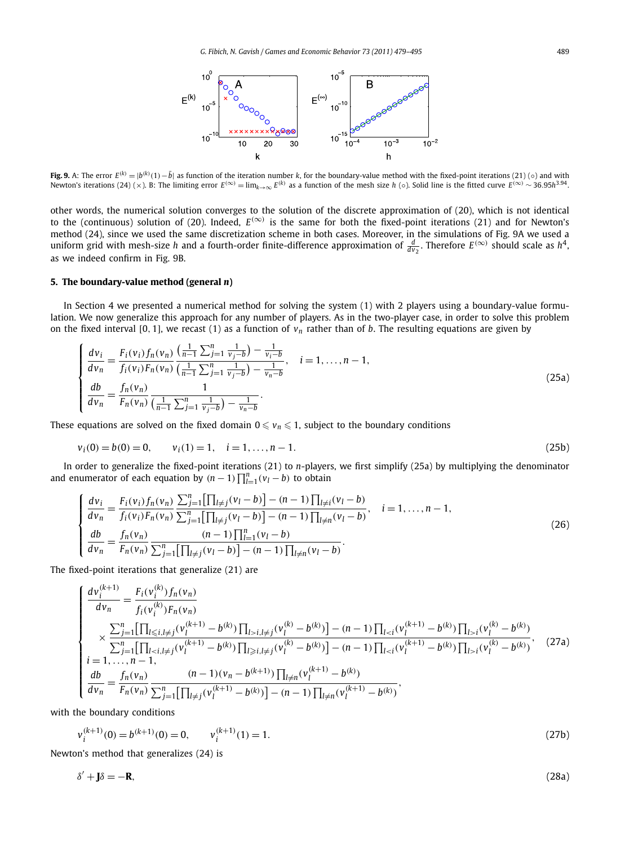

**Fig. 9.** A: The error  $E^{(k)} = |b^{(k)}(1) - \bar{b}|$  as function of the iteration number k, for the boundary-value method with the fixed-point iterations (21) (0) and with Newton's iterations (24) (x). B: The limiting error  $E^{(\infty)} = \lim_{k \to \infty} E^{(k)}$  as a function of the mesh size h (o). Solid line is the fitted curve  $E^{(\infty)} \sim 36.95h^{3.94}$ .

other words, the numerical solution converges to the solution of the discrete approximation of (20), which is not identical to the (continuous) solution of (20). Indeed,  $E^{(\infty)}$  is the same for both the fixed-point iterations (21) and for Newton's method (24), since we used the same discretization scheme in both cases. Moreover, in the simulations of Fig. 9A we used a uniform grid with mesh-size *h* and a fourth-order finite-difference approximation of  $\frac{d}{dv_2}$ . Therefore  $E^{(\infty)}$  should scale as  $h^4$ , as we indeed confirm in Fig. 9B.

#### **5. The boundary-value method (general** *n***)**

In Section 4 we presented a numerical method for solving the system (1) with 2 players using a boundary-value formulation. We now generalize this approach for any number of players. As in the two-player case, in order to solve this problem on the fixed interval [0, 1], we recast (1) as a function of  $v_n$  rather than of *b*. The resulting equations are given by

$$
\begin{cases}\n\frac{dv_i}{dv_n} = \frac{F_i(v_i) f_n(v_n)}{f_i(v_i) F_n(v_n)} \frac{\left(\frac{1}{n-1} \sum_{j=1}^n \frac{1}{v_j - b}\right) - \frac{1}{v_i - b}}{\left(\frac{1}{n-1} \sum_{j=1}^n \frac{1}{v_j - b}\right) - \frac{1}{v_n - b}}, \quad i = 1, \dots, n-1, \\
\frac{db}{dv_n} = \frac{f_n(v_n)}{F_n(v_n)} \frac{1}{\left(\frac{1}{n-1} \sum_{j=1}^n \frac{1}{v_j - b}\right) - \frac{1}{v_n - b}}.\n\end{cases} \tag{25a}
$$

These equations are solved on the fixed domain  $0 \le v_n \le 1$ , subject to the boundary conditions

$$
v_i(0) = b(0) = 0, \qquad v_i(1) = 1, \quad i = 1, \dots, n-1.
$$
\n(25b)

In order to generalize the fixed-point iterations (21) to *n*-players, we first simplify (25a) by multiplying the denominator and enumerator of each equation by  $(n - 1) \prod_{l=1}^{n} (v_l - b)$  to obtain

$$
\begin{cases}\n\frac{dv_i}{dv_n} = \frac{F_i(v_i) f_n(v_n)}{f_i(v_i) F_n(v_n)} \frac{\sum_{j=1}^n \left[\prod_{l \neq j} (v_l - b)\right] - (n-1) \prod_{l \neq i} (v_l - b)}{\sum_{j=1}^n \left[\prod_{l \neq j} (v_l - b)\right] - (n-1) \prod_{l \neq n} (v_l - b)}, \quad i = 1, \dots, n-1, \\
\frac{db}{dv_n} = \frac{f_n(v_n)}{F_n(v_n)} \frac{(n-1) \prod_{l=1}^n (v_l - b)}{\sum_{j=1}^n \left[\prod_{l \neq j} (v_l - b)\right] - (n-1) \prod_{l \neq n} (v_l - b)}.\n\end{cases}
$$
\n(26)

The fixed-point iterations that generalize (21) are

$$
\begin{cases}\n\frac{d v_i^{(k+1)}}{d v_n} = \frac{F_i(v_i^{(k)}) f_n(v_n)}{f_i(v_i^{(k)}) F_n(v_n)} \\
\times \frac{\sum_{j=1}^n \left[ \prod_{l \le i, l \ne j} (v_l^{(k+1)} - b^{(k)}) \prod_{l > i, l \ne j} (v_l^{(k)} - b^{(k)}) \right] - (n-1) \prod_{l < i} (v_l^{(k+1)} - b^{(k)}) \prod_{l > i} (v_l^{(k)} - b^{(k)})}{\sum_{j=1}^n \left[ \prod_{l < i, l \ne j} (v_l^{(k+1)} - b^{(k)}) \prod_{l \ge i, l \ne j} (v_l^{(k)} - b^{(k)}) \right] - (n-1) \prod_{l < i} (v_l^{(k+1)} - b^{(k)}) \prod_{l > i} (v_l^{(k)} - b^{(k)})},\n\end{cases} (27a)
$$
\n
$$
i = 1, \dots, n-1,
$$
\n
$$
\begin{cases}\n\frac{db}{dv_n} = \frac{f_n(v_n)}{F_n(v_n)} \frac{(n-1)(v_n - b^{(k+1)}) \prod_{l \ne n} (v_l^{(k+1)} - b^{(k)})}{\sum_{j=1}^n \left[ \prod_{l \ne j} (v_l^{(k+1)} - b^{(k)}) \right] - (n-1) \prod_{l \ne n} (v_l^{(k+1)} - b^{(k)})},\n\end{cases}
$$

with the boundary conditions

$$
v_i^{(k+1)}(0) = b^{(k+1)}(0) = 0, \qquad v_i^{(k+1)}(1) = 1.
$$
\n(27b)

Newton's method that generalizes (24) is

$$
\delta' + \mathbf{J}\delta = -\mathbf{R},\tag{28a}
$$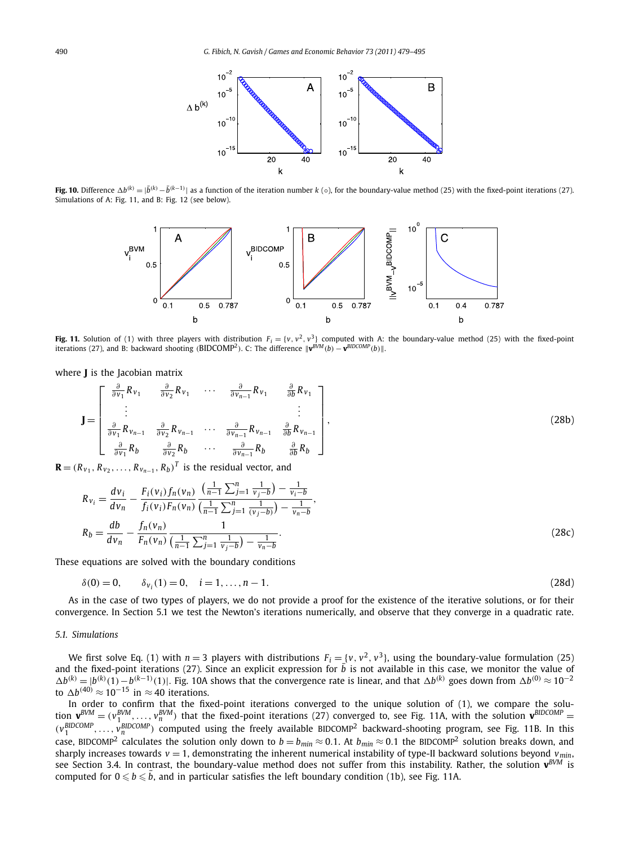

**Fig. 10.** Difference  $\Delta b^{(k)} = |\bar{b}^{(k)} - \bar{b}^{(k-1)}|$  as a function of the iteration number k (0), for the boundary-value method (25) with the fixed-point iterations (27). Simulations of A: Fig. 11, and B: Fig. 12 (see below).



**Fig. 11.** Solution of (1) with three players with distribution  $F_i = \{v, v^2, v^3\}$  computed with A: the boundary-value method (25) with the fixed-point  $\| \mathbf{v} \|^2$  iterations (27), and B: backward shooting  $(\text{BIDCOMP}^2)$ . C: The difference  $\| \mathbf{v}^{\text{BVM}}(b) - \mathbf{v}^{\text{BIDCOMP}}(b) \|$ .

where **J** is the Jacobian matrix

$$
\mathbf{J} = \begin{bmatrix} \frac{\partial}{\partial v_1} R_{v_1} & \frac{\partial}{\partial v_2} R_{v_1} & \cdots & \frac{\partial}{\partial v_{n-1}} R_{v_1} & \frac{\partial}{\partial b} R_{v_1} \\ \vdots & & & \vdots \\ \frac{\partial}{\partial v_1} R_{v_{n-1}} & \frac{\partial}{\partial v_2} R_{v_{n-1}} & \cdots & \frac{\partial}{\partial v_{n-1}} R_{v_{n-1}} & \frac{\partial}{\partial b} R_{v_{n-1}} \\ \frac{\partial}{\partial v_1} R_b & \frac{\partial}{\partial v_2} R_b & \cdots & \frac{\partial}{\partial v_{n-1}} R_b & \frac{\partial}{\partial b} R_b \end{bmatrix},
$$
(28b)

 $\mathbf{R} = (R_{v_1}, R_{v_2}, \ldots, R_{v_{n-1}}, R_b)^T$  is the residual vector, and

$$
R_{v_i} = \frac{dv_i}{dv_n} - \frac{F_i(v_i) f_n(v_n)}{f_i(v_i) F_n(v_n)} \frac{\left(\frac{1}{n-1} \sum_{j=1}^n \frac{1}{v_j - b}\right) - \frac{1}{v_i - b}}{\left(\frac{1}{n-1} \sum_{j=1}^n \frac{1}{(v_j - b)}\right) - \frac{1}{v_n - b}},
$$
  
\n
$$
R_b = \frac{db}{dv_n} - \frac{f_n(v_n)}{F_n(v_n)} \frac{1}{\left(\frac{1}{n-1} \sum_{j=1}^n \frac{1}{v_j - b}\right) - \frac{1}{v_n - b}}.
$$
\n(28c)

These equations are solved with the boundary conditions

$$
\delta(0) = 0, \qquad \delta_{v_i}(1) = 0, \quad i = 1, \dots, n-1. \tag{28d}
$$

As in the case of two types of players, we do not provide a proof for the existence of the iterative solutions, or for their convergence. In Section 5.1 we test the Newton's iterations numerically, and observe that they converge in a quadratic rate.

#### *5.1. Simulations*

We first solve Eq. (1) with  $n = 3$  players with distributions  $F_i = \{v, v^2, v^3\}$ , using the boundary-value formulation (25) and the fixed-point iterations (27). Since an explicit expression for  $\bar{b}$  is not available in this case, we monitor the value of  $\Delta b^{(k)} = |b^{(k)}(1) - b^{(k-1)}(1)|$ . Fig. 10A shows that the convergence rate is linear, and that  $\Delta b^{(k)}$  goes down from  $\Delta b^{(0)} \approx 10^{-2}$ to  $\Delta b^{(40)} \approx 10^{-15}$  in  $\approx 40$  iterations.

In order to confirm that the fixed-point iterations converged to the unique solution of (1), we compare the solution  $\mathbf{v}^{BVM} = (v_1^{BVM}, \ldots, v_n^{BVM})$  that the fixed-point iterations (27) converged to, see Fig. 11A, with the solution  $\mathbf{v}^{BIDCOMP}$  =  $(v_1^{BIDCOMP},...,v_n^{BIDCOMP})$  computed using the freely available BIDCOMP<sup>2</sup> backward-shooting program, see Fig. 11B. In this case, BIDCOMP<sup>2</sup> calculates the solution only down to  $b = b_{min} \approx 0.1$ . At  $b_{min} \approx 0.1$  the BIDCOMP<sup>2</sup> solution breaks down, and sharply increases towards  $v = 1$ , demonstrating the inherent numerical instability of type-II backward solutions beyond  $v_{min}$ , see Section 3.4. In contrast, the boundary-value method does not suffer from this instability. Rather, the solution **v***BVM* is computed for  $0 \leqslant b \leqslant \bar{b}$ , and in particular satisfies the left boundary condition (1b), see Fig. 11A.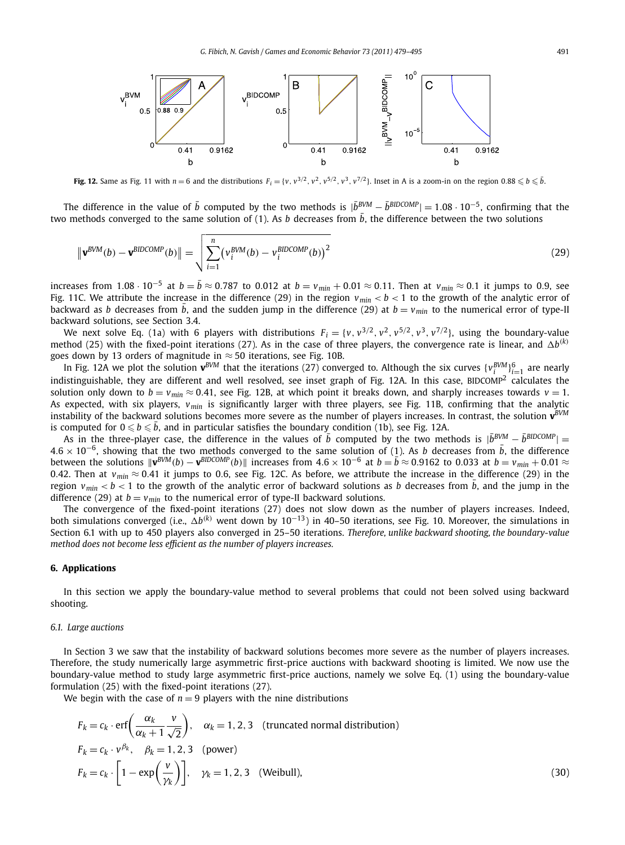

**Fig. 12.** Same as Fig. 11 with  $n = 6$  and the distributions  $F_i = \{v, v^{3/2}, v^2, v^{5/2}, v^3, v^{7/2}\}$ . Inset in A is a zoom-in on the region  $0.88 \leq b \leq b$ .

The difference in the value of  $\bar{b}$  computed by the two methods is  $|\bar{b}^{BVM} - \bar{b}^{BIDCOMP}| = 1.08 \cdot 10^{-5}$ , confirming that the two methods converged to the same solution of  $(1)$ . As *b* decreases from  $\bar{b}$ , the difference between the two solutions

$$
\|\mathbf{v}^{BVM}(b) - \mathbf{v}^{BIDCOMP}(b)\| = \sqrt{\sum_{i=1}^{n} (v_i^{BVM}(b) - v_i^{BIDCOMP}(b))^2}
$$
(29)

increases from 1.08 · 10<sup>−5</sup> at  $b=\bar{b}\approx$  0.787 to 0.012 at  $b=v_{min}+0.01\approx$  0.11. Then at  $v_{min}\approx$  0.1 it jumps to 0.9, see Fig. 11C. We attribute the increase in the difference (29) in the region  $v_{min} < b < 1$  to the growth of the analytic error of backward as *b* decreases from  $\bar{b}$ , and the sudden jump in the difference (29) at  $b = v_{min}$  to the numerical error of type-II backward solutions, see Section 3.4.

We next solve Eq. (1a) with 6 players with distributions  $F_i = \{v, v^{3/2}, v^2, v^{5/2}, v^3, v^{7/2}\}$ , using the boundary-value method (25) with the fixed-point iterations (27). As in the case of three players, the convergence rate is linear, and  $\Delta b^{(k)}$ goes down by 13 orders of magnitude in  $\approx$  50 iterations, see Fig. 10B.

In Fig. 12A we plot the solution  $\mathbf{v}^{BVM}$  that the iterations (27) converged to. Although the six curves  $\{v_i^{BVM}\}_{i=1}^6$  are nearly indistinguishable, they are different and well resolved, see inset graph of Fig. 12A. In this case, BIDCOMP<sup>2</sup> calculates the solution only down to  $b = v_{min} \approx 0.41$ , see Fig. 12B, at which point it breaks down, and sharply increases towards  $v = 1$ . As expected, with six players, *vmin* is significantly larger with three players, see Fig. 11B, confirming that the analytic instability of the backward solutions becomes more severe as the number of players increases. In contrast, the solution **v***BVM* is computed for  $0 \leqslant b \leqslant \bar{b}$ , and in particular satisfies the boundary condition (1b), see Fig. 12A.

As in the three-player case, the difference in the values of  $\bar{b}$  computed by the two methods is  $|\bar{b}^{BVM} - \bar{b}^{BIDCOMP}|$  = <sup>4</sup>*.*<sup>6</sup> × <sup>10</sup><sup>−</sup>6, showing that the two methods converged to the same solution of (1). As *<sup>b</sup>* decreases from ¯ *b*, the difference between the solutions  $\|\mathbf{v}^{BVM}(b)-\mathbf{v}^{BIDCOMP}(b)\|$  increases from  $4.6\times10^{-6}$  at  $b=\overline{b}\approx0.9162$  to 0.033 at  $b=v_{min}+0.01\approx0.01$ 0.42. Then at  $v_{min} \approx 0.41$  it jumps to 0.6, see Fig. 12C. As before, we attribute the increase in the difference (29) in the region  $v_{min} < b < 1$  to the growth of the analytic error of backward solutions as *b* decreases from  $\bar{b}$ , and the jump in the difference (29) at  $b = v_{min}$  to the numerical error of type-II backward solutions.

The convergence of the fixed-point iterations (27) does not slow down as the number of players increases. Indeed, both simulations converged (i.e., *b(k)* went down by 10<sup>−</sup>13) in 40–50 iterations, see Fig. 10. Moreover, the simulations in Section 6.1 with up to 450 players also converged in 25–50 iterations. *Therefore, unlike backward shooting, the boundary-value method does not become less efficient as the number of players increases.*

#### **6. Applications**

In this section we apply the boundary-value method to several problems that could not been solved using backward shooting.

#### *6.1. Large auctions*

In Section 3 we saw that the instability of backward solutions becomes more severe as the number of players increases. Therefore, the study numerically large asymmetric first-price auctions with backward shooting is limited. We now use the boundary-value method to study large asymmetric first-price auctions, namely we solve Eq. (1) using the boundary-value formulation (25) with the fixed-point iterations (27).

We begin with the case of  $n = 9$  players with the nine distributions

$$
F_k = c_k \cdot \text{erf}\left(\frac{\alpha_k}{\alpha_k + 1} \frac{v}{\sqrt{2}}\right), \quad \alpha_k = 1, 2, 3 \quad \text{(truncated normal distribution)}
$$
\n
$$
F_k = c_k \cdot v^{\beta_k}, \quad \beta_k = 1, 2, 3 \quad \text{(power)}
$$
\n
$$
F_k = c_k \cdot \left[1 - \exp\left(\frac{v}{\gamma_k}\right)\right], \quad \gamma_k = 1, 2, 3 \quad \text{(Weibull)}, \tag{30}
$$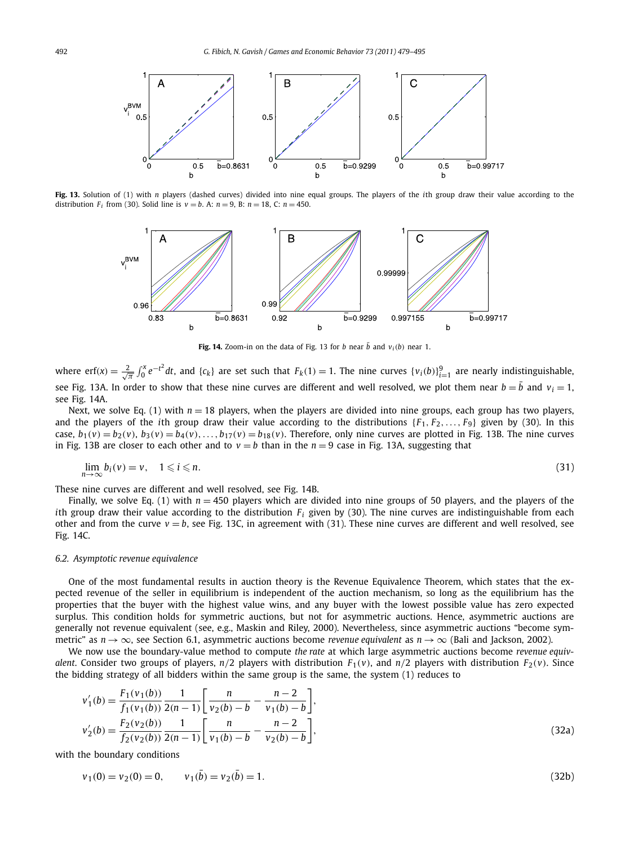

**Fig. 13.** Solution of (1) with *n* players (dashed curves) divided into nine equal groups. The players of the *i*th group draw their value according to the distribution  $F_i$  from (30). Solid line is  $v = b$ . A:  $n = 9$ , B:  $n = 18$ , C:  $n = 450$ .



**Fig. 14.** Zoom-in on the data of Fig. 13 for *b* near  $\bar{b}$  and  $v_i(b)$  near 1.

where erf(x) =  $\frac{2}{\sqrt{\pi}} \int_0^x e^{-t^2} dt$ , and {c<sub>k</sub>} are set such that  $F_k(1) = 1$ . The nine curves { $v_i(b)$ } $_{i=1}^9$  are nearly indistinguishable, see Fig. 13A. In order to show that these nine curves are different and well resolved, we plot them near  $b=\bar{b}$  and  $v_i=1$ , see Fig. 14A.

Next, we solve Eq. (1) with  $n = 18$  players, when the players are divided into nine groups, each group has two players, and the players of the *i*th group draw their value according to the distributions  ${F_1, F_2, \ldots, F_9}$  given by (30). In this case,  $b_1(v) = b_2(v)$ ,  $b_3(v) = b_4(v)$ , ...,  $b_{17}(v) = b_{18}(v)$ . Therefore, only nine curves are plotted in Fig. 13B. The nine curves in Fig. 13B are closer to each other and to  $v = b$  than in the  $n = 9$  case in Fig. 13A, suggesting that

$$
\lim_{n \to \infty} b_i(v) = v, \quad 1 \leq i \leq n. \tag{31}
$$

These nine curves are different and well resolved, see Fig. 14B.

Finally, we solve Eq. (1) with  $n = 450$  players which are divided into nine groups of 50 players, and the players of the *i*th group draw their value according to the distribution  $F_i$  given by (30). The nine curves are indistinguishable from each other and from the curve  $v = b$ , see Fig. 13C, in agreement with (31). These nine curves are different and well resolved, see Fig. 14C.

#### *6.2. Asymptotic revenue equivalence*

One of the most fundamental results in auction theory is the Revenue Equivalence Theorem, which states that the expected revenue of the seller in equilibrium is independent of the auction mechanism, so long as the equilibrium has the properties that the buyer with the highest value wins, and any buyer with the lowest possible value has zero expected surplus. This condition holds for symmetric auctions, but not for asymmetric auctions. Hence, asymmetric auctions are generally not revenue equivalent (see, e.g., Maskin and Riley, 2000). Nevertheless, since asymmetric auctions "become symmetric" as *n* → ∞, see Section 6.1, asymmetric auctions become *revenue equivalent* as *n* → ∞ (Bali and Jackson, 2002).

We now use the boundary-value method to compute *the rate* at which large asymmetric auctions become *revenue equivalent*. Consider two groups of players,  $n/2$  players with distribution  $F_1(v)$ , and  $n/2$  players with distribution  $F_2(v)$ . Since the bidding strategy of all bidders within the same group is the same, the system (1) reduces to

$$
v'_1(b) = \frac{F_1(v_1(b))}{f_1(v_1(b))} \frac{1}{2(n-1)} \left[ \frac{n}{v_2(b) - b} - \frac{n-2}{v_1(b) - b} \right],
$$
  
\n
$$
v'_2(b) = \frac{F_2(v_2(b))}{f_2(v_2(b))} \frac{1}{2(n-1)} \left[ \frac{n}{v_1(b) - b} - \frac{n-2}{v_2(b) - b} \right],
$$
\n(32a)

with the boundary conditions

$$
\nu_1(0) = \nu_2(0) = 0, \qquad \nu_1(\bar{b}) = \nu_2(\bar{b}) = 1. \tag{32b}
$$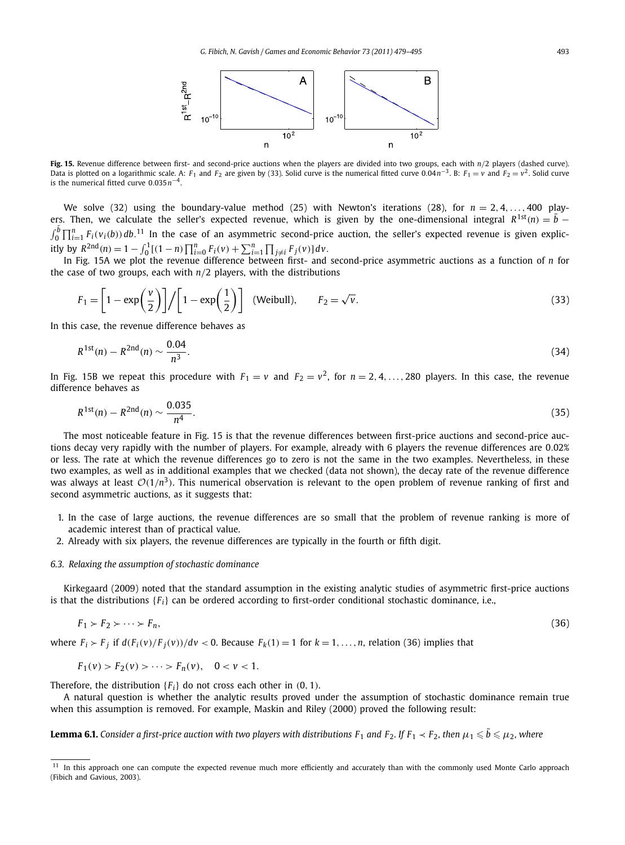

**Fig. 15.** Revenue difference between first- and second-price auctions when the players are divided into two groups, each with *n/*2 players (dashed curve). Data is plotted on a logarithmic scale. A: *F*<sub>1</sub> and *F*<sub>2</sub> are given by (33). Solid curve is the numerical fitted curve 0.04*n*<sup>−3</sup>. B: *F*<sub>1</sub> = *v* and *F*<sub>2</sub> = *v*<sup>2</sup>. Solid curve is the numerical fitted curve 0*.*035*n*<sup>−</sup>4.

We solve (32) using the boundary-value method (25) with Newton's iterations (28), for  $n = 2, 4, \ldots, 400$  players. Then, we calculate the seller's expected revenue, which is given by the one-dimensional integral  $R^{1st}(n) = \overline{b}$  −  $\int_0^{\bar{b}} \prod_{i=1}^n F_i(v_i(b)) db$ .<sup>11</sup> In the case of an asymmetric second-price auction, the seller's expected revenue is given explicitly by  $R^{2nd}(n) = 1 - \int_0^1 [(1-n)\prod_{i=0}^n F_i(v) + \sum_{i=1}^n \prod_{j \neq i} F_j(v)] dv$ .

In Fig. 15A we plot the revenue difference between first- and second-price asymmetric auctions as a function of *n* for the case of two groups, each with *n/*2 players, with the distributions

$$
F_1 = \left[1 - \exp\left(\frac{v}{2}\right)\right] / \left[1 - \exp\left(\frac{1}{2}\right)\right] \quad \text{(Weibull)}, \qquad F_2 = \sqrt{v}.
$$
\n<sup>(33)</sup>

In this case, the revenue difference behaves as

$$
R^{1st}(n) - R^{2nd}(n) \sim \frac{0.04}{n^3}.
$$
\n(34)

In Fig. 15B we repeat this procedure with  $F_1 = v$  and  $F_2 = v^2$ , for  $n = 2, 4, ..., 280$  players. In this case, the revenue difference behaves as

$$
R^{1st}(n) - R^{2nd}(n) \sim \frac{0.035}{n^4}.\tag{35}
$$

The most noticeable feature in Fig. 15 is that the revenue differences between first-price auctions and second-price auctions decay very rapidly with the number of players. For example, already with 6 players the revenue differences are 0*.*02% or less. The rate at which the revenue differences go to zero is not the same in the two examples. Nevertheless, in these two examples, as well as in additional examples that we checked (data not shown), the decay rate of the revenue difference was always at least  $O(1/n^3)$ . This numerical observation is relevant to the open problem of revenue ranking of first and second asymmetric auctions, as it suggests that:

- 1. In the case of large auctions, the revenue differences are so small that the problem of revenue ranking is more of academic interest than of practical value.
- 2. Already with six players, the revenue differences are typically in the fourth or fifth digit.

#### *6.3. Relaxing the assumption of stochastic dominance*

Kirkegaard (2009) noted that the standard assumption in the existing analytic studies of asymmetric first-price auctions is that the distributions {*Fi*} can be ordered according to first-order conditional stochastic dominance, i.e.,

$$
F_1 \succ F_2 \succ \cdots \succ F_n,\tag{36}
$$

where  $F_i \succ F_j$  if  $d(F_i(v)/F_j(v))/dv < 0$ . Because  $F_k(1) = 1$  for  $k = 1, ..., n$ , relation (36) implies that

$$
F_1(v) > F_2(v) > \cdots > F_n(v), \quad 0 < v < 1.
$$

Therefore, the distribution {*Fi*} do not cross each other in *(*0*,* 1*)*.

A natural question is whether the analytic results proved under the assumption of stochastic dominance remain true when this assumption is removed. For example, Maskin and Riley (2000) proved the following result:

**Lemma 6.1.** Consider a first-price auction with two players with distributions F<sub>1</sub> and F<sub>2</sub>. If F<sub>1</sub>  $\lt$  F<sub>2</sub>, then  $\mu_1$   $\leqslant$   $\bar{b}$   $\leqslant$   $\mu_2$ , where

<sup>&</sup>lt;sup>11</sup> In this approach one can compute the expected revenue much more efficiently and accurately than with the commonly used Monte Carlo approach (Fibich and Gavious, 2003).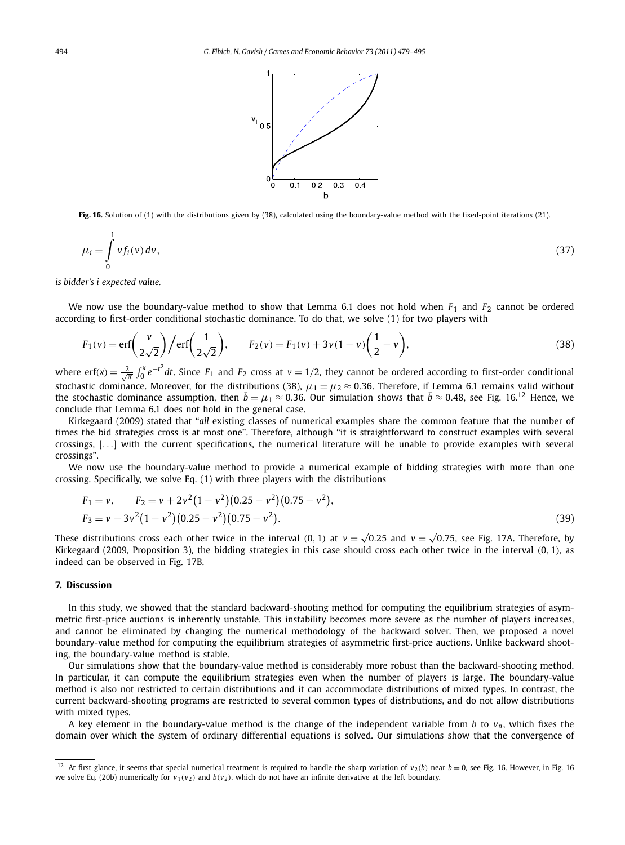

**Fig. 16.** Solution of (1) with the distributions given by (38), calculated using the boundary-value method with the fixed-point iterations (21).

$$
\mu_i = \int_0^1 v f_i(v) \, dv,\tag{37}
$$

*is bidder's i expected value.*

We now use the boundary-value method to show that Lemma 6.1 does not hold when *F*<sup>1</sup> and *F*<sup>2</sup> cannot be ordered according to first-order conditional stochastic dominance. To do that, we solve (1) for two players with

$$
F_1(v) = \text{erf}\left(\frac{v}{2\sqrt{2}}\right) / \text{erf}\left(\frac{1}{2\sqrt{2}}\right), \qquad F_2(v) = F_1(v) + 3v(1-v)\left(\frac{1}{2} - v\right),\tag{38}
$$

where  $\text{erf}(x) = \frac{2}{\sqrt{\pi}} \int_0^x e^{-t^2} dt$ . Since  $F_1$  and  $F_2$  cross at  $v = 1/2$ , they cannot be ordered according to first-order conditional stochastic dominance. Moreover, for the distributions (38),  $\mu_1 = \mu_2 \approx 0.36$ . Therefore, if Lemma 6.1 remains valid without the stochastic dominance assumption, then  $\bar{b} = \mu_1 \approx 0.36$ . Our simulation shows that  $\bar{b} \approx 0.48$ , see Fig. 16.<sup>12</sup> Hence, we conclude that Lemma 6.1 does not hold in the general case.

Kirkegaard (2009) stated that "*all* existing classes of numerical examples share the common feature that the number of times the bid strategies cross is at most one". Therefore, although "it is straightforward to construct examples with several crossings, [*...*] with the current specifications, the numerical literature will be unable to provide examples with several crossings".

We now use the boundary-value method to provide a numerical example of bidding strategies with more than one crossing. Specifically, we solve Eq. (1) with three players with the distributions

$$
F_1 = v, \qquad F_2 = v + 2v^2(1 - v^2)(0.25 - v^2)(0.75 - v^2),
$$
  
\n
$$
F_3 = v - 3v^2(1 - v^2)(0.25 - v^2)(0.75 - v^2).
$$
\n(39)

These distributions cross each other twice in the interval (0, 1) at  $v = \sqrt{0.25}$  and  $v = \sqrt{0.75}$ , see Fig. 17A. Therefore, by Kirkegaard (2009, Proposition 3), the bidding strategies in this case should cross each other twice in the interval *(*0*,* 1*)*, as indeed can be observed in Fig. 17B.

#### **7. Discussion**

In this study, we showed that the standard backward-shooting method for computing the equilibrium strategies of asymmetric first-price auctions is inherently unstable. This instability becomes more severe as the number of players increases, and cannot be eliminated by changing the numerical methodology of the backward solver. Then, we proposed a novel boundary-value method for computing the equilibrium strategies of asymmetric first-price auctions. Unlike backward shooting, the boundary-value method is stable.

Our simulations show that the boundary-value method is considerably more robust than the backward-shooting method. In particular, it can compute the equilibrium strategies even when the number of players is large. The boundary-value method is also not restricted to certain distributions and it can accommodate distributions of mixed types. In contrast, the current backward-shooting programs are restricted to several common types of distributions, and do not allow distributions with mixed types.

A key element in the boundary-value method is the change of the independent variable from *b* to  $v_n$ , which fixes the domain over which the system of ordinary differential equations is solved. Our simulations show that the convergence of

<sup>&</sup>lt;sup>12</sup> At first glance, it seems that special numerical treatment is required to handle the sharp variation of  $v_2(b)$  near  $b = 0$ , see Fig. 16. However, in Fig. 16 we solve Eq. (20b) numerically for  $v_1(v_2)$  and  $b(v_2)$ , which do not have an infinite derivative at the left boundary.